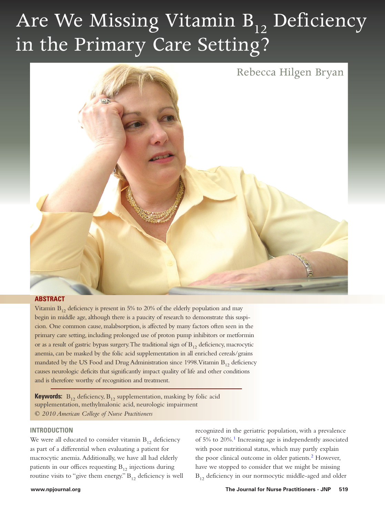# Are We Missing Vitamin B<sub>12</sub> Deficiency in the Primary Care Setting?



## **ABSTRACT**

Vitamin  $B_{12}$  deficiency is present in 5% to 20% of the elderly population and may begin in middle age, although there is a paucity of research to demonstrate this suspicion. One common cause, malabsorption, is affected by many factors often seen in the primary care setting, including prolonged use of proton pump inhibitors or metformin or as a result of gastric bypass surgery. The traditional sign of  $B_{12}$  deficiency, macrocytic anemia, can be masked by the folic acid supplementation in all enriched cereals/grains mandated by the US Food and Drug Administration since 1998. Vitamin  $B_{12}$  deficiency causes neurologic deficits that significantly impact quality of life and other conditions and is therefore worthy of recognition and treatment.

**Keywords:**  $B_{12}$  deficiency,  $B_{12}$  supplementation, masking by folic acid supplementation, methylmalonic acid, neurologic impairment *© 2010 American College of Nurse Practitioners*

## **INTRODUCTION**

We were all educated to consider vitamin  $B_{12}$  deficiency as part of a differential when evaluating a patient for macrocytic anemia. Additionally, we have all had elderly patients in our offices requesting  $B_{12}$  injections during routine visits to "give them energy."  $B_{12}$  deficiency is well recognized in the geriatric population, with a prevalence of 5% to 20%[.1](#page-4-0) Increasing age is independently associated with poor nutritional status, which may partly explain the poor clinical outcome in older patients. $<sup>2</sup>$  $<sup>2</sup>$  $<sup>2</sup>$  However,</sup> have we stopped to consider that we might be missing  $B_{12}$  deficiency in our normocytic middle-aged and older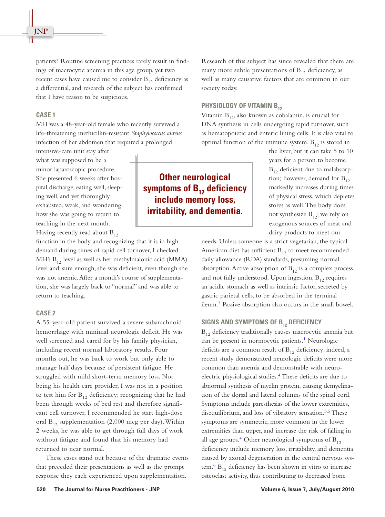patients? Routine screening practices rarely result in findings of macrocytic anemia in this age group, yet two recent cases have caused me to consider  $B_{12}$  deficiency as a differential, and research of the subject has confirmed that I have reason to be suspicious.

#### **CASE 1**

MH was a 48-year-old female who recently survived a life-threatening methicillin-resistant *Staphylococcus aureus* infection of her abdomen that required a prolonged

intensive-care unit stay after what was supposed to be a minor laparoscopic procedure. She presented 6 weeks after hospital discharge, eating well, sleeping well, and yet thoroughly exhausted, weak, and wondering how she was going to return to teaching in the next month. Having recently read about  $B_{12}$ 

function in the body and recognizing that it is in high demand during times of rapid cell turnover, I checked MH's  $B_{12}$  level as well as her methylmalonic acid (MMA) level and, sure enough, she was deficient, even though she was not anemic. After a month's course of supplementation, she was largely back to "normal" and was able to return to teaching.

## **CASE 2**

A 55-year-old patient survived a severe subarachnoid hemorrhage with minimal neurologic deficit. He was well screened and cared for by his family physician, including recent normal laboratory results. Four months out, he was back to work but only able to manage half days because of persistent fatigue. He struggled with mild short-term memory loss. Not being his health care provider, I was not in a position to test him for  $B_{12}$  deficiency; recognizing that he had been through weeks of bed rest and therefore significant cell turnover, I recommended he start high-dose oral  $B_{12}$  supplementation (2,000 mcg per day). Within 2 weeks, he was able to get through full days of work without fatigue and found that his memory had returned to near normal.

These cases stand out because of the dramatic events that preceded their presentations as well as the prompt response they each experienced upon supplementation.

Research of this subject has since revealed that there are many more subtle presentations of  $B_{12}$  deficiency, as well as many causative factors that are common in our society today.

## **PHYSIOLOGY OF VITAMIN B12**

Vitamin  $B_{12}$ , also known as cobalamin, is crucial for DNA synthesis in cells undergoing rapid turnover, such as hematopoietic and enteric lining cells. It is also vital to optimal function of the immune system.  $B_{12}$  is stored in

> the liver, but it can take 5 to 10 years for a person to become  $B_{12}$  deficient due to malabsorption; however, demand for  $B_{12}$ markedly increases during times of physical stress, which depletes stores as well. The body does not synthesize  $B_{12}$ ; we rely on exogenous sources of meat and dairy products to meet our

needs. Unless someone is a strict vegetarian, the typical American diet has sufficient  $B_{12}$  to meet recommended daily allowance (RDA) standards, presuming normal absorption. Active absorption of  $B_{12}$  is a complex process and not fully understood. Upon ingestion,  $B_{12}$  requires an acidic stomach as well as intrinsic factor, secreted by gastric parietal cells, to be absorbed in the terminal ileum[.3](#page-4-0) Passive absorption also occurs in the small bowel.

#### **SIGNS AND SYMPTOMS OF B12 DEFICIENCY**

 $B_{12}$  deficiency traditionally causes macrocytic anemia but can be present in normocytic patients.<sup>[1](#page-4-0)</sup> Neurologic deficits are a common result of  $B_{12}$  deficiency; indeed, a recent study demonstrated neurologic deficits were more common than anemia and demonstrable with neuro-electric physiological studies.<sup>[4](#page-4-0)</sup> These deficits are due to abnormal synthesis of myelin protein, causing demyelination of the dorsal and lateral columns of the spinal cord. Symptoms include paresthesias of the lower extremities, disequilibrium, and loss of vibratory sensation.<sup>3,5</sup> These symptoms are symmetric, more common in the lower extremities than upper, and increase the risk of falling in all age groups.<sup>4</sup> Other neurological symptoms of  $B_{12}$ deficiency include memory loss, irritability, and dementia caused by axonal degeneration in the central nervous system.<sup>6</sup>  $B_{12}$  deficiency has been shown in vitro to increase osteoclast activity, thus contributing to decreased bone

## **Other neurological symptoms of B12 deficiency include memory loss, irritability, and dementia.**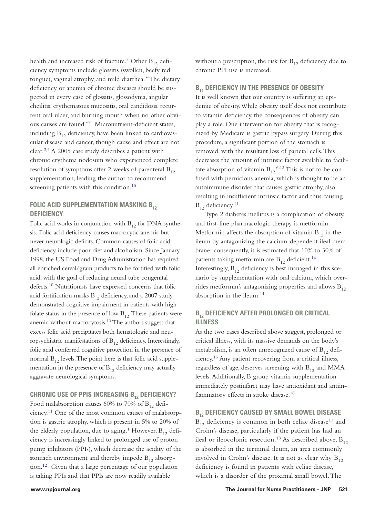health and increased risk of fracture.<sup>7</sup> Other  $B_{12}$  deficiency symptoms include glossitis (swollen, beefy red tongue), vaginal atrophy, and mild diarrhea. "The dietary deficiency or anemia of chronic diseases should be suspected in every case of glossitis, glossodynia, angular cheilitis, erythematous mucositis, oral candidosis, recurrent oral ulcer, and burning mouth when no other obvious causes are found.["8](#page-4-0) Micronutrient-deficient states, including  $B_{12}$  deficiency, have been linked to cardiovascular disease and cancer, though cause and effect are not clear.<sup>2,4</sup> A 2005 case study describes a patient with chronic erythema nodosum who experienced complete resolution of symptoms after 2 weeks of parenteral  $B_{12}$ supplementation, leading the author to recommend screening patients with this condition.<sup>[10](#page-4-0)</sup>

## **FOLIC ACID SUPPLEMENTATION MASKING B<sub>12</sub> DEFICIENCY**

Folic acid works in conjunction with  $B_{12}$  for DNA synthesis. Folic acid deficiency causes macrocytic anemia but never neurologic deficits. Common causes of folic acid deficiency include poor diet and alcoholism. Since January 1998, the US Food and Drug Administration has required all enriched cereal/grain products to be fortified with folic acid, with the goal of reducing neural tube congenital defects[.10](#page-4-0) Nutritionists have expressed concerns that folic acid fortification masks  $B_{12}$  deficiency, and a 2007 study demonstrated cognitive impairment in patients with high folate status in the presence of low  $B_{12}$ . These patients were anemic without macrocytosis. $10$  The authors suggest that excess folic acid precipitates both hematologic and neuropsychiatric manifestations of  $B_{12}$  deficiency. Interestingly, folic acid conferred cognitive protection in the presence of normal  $B_{12}$  levels. The point here is that folic acid supplementation in the presence of  $B_{12}$  deficiency may actually aggravate neurological symptoms.

## **CHRONIC USE OF PPIS INCREASING B12 DEFICIENCY?**

Food malabsorption causes 60% to 70% of  $B_{12}$  deficiency.[11](#page-4-0) One of the most common causes of malabsorption is gastric atrophy, which is present in 5% to 20% of the elderly population, due to aging.<sup>1</sup> However,  $B_{12}$  deficiency is increasingly linked to prolonged use of proton pump inhibitors (PPIs), which decrease the acidity of the stomach environment and thereby impede  $B_{12}$  absorption[.12](#page-4-0) Given that a large percentage of our population is taking PPIs and that PPIs are now readily available

without a prescription, the risk for  $B_{12}$  deficiency due to chronic PPI use is increased.

## **B12 DEFICIENCY IN THE PRESENCE OF OBESITY**

It is well known that our country is suffering an epidemic of obesity. While obesity itself does not contribute to vitamin deficiency, the consequences of obesity can play a role. One intervention for obesity that is recognized by Medicare is gastric bypass surgery. During this procedure, a significant portion of the stomach is removed, with the resultant loss of parietal cells. This decreases the amount of intrinsic factor available to facilitate absorption of vitamin  $B_{12}$ <sup>6,13</sup> This is not to be confused with pernicious anemia, which is thought to be an autoimmune disorder that causes gastric atrophy, also resulting in insufficient intrinsic factor and thus causing  $B_{12}$  deficiency.<sup>11</sup>

Type 2 diabetes mellitus is a complication of obesity, and first-line pharmacologic therapy is metformin. Metformin affects the absorption of vitamin  $B_{12}$  in the ileum by antagonizing the calcium-dependent ileal membrane; consequently, it is estimated that 10% to 30% of patients taking metformin are  $B_{12}$  deficient.<sup>[14](#page-4-0)</sup> Interestingly,  $B_{12}$  deficiency is best managed in this scenario by supplementation with oral calcium, which overrides metformin's antagonizing properties and allows  $B_{12}$ absorption in the ileum.[14](#page-4-0)

## **B12 DEFICIENCY AFTER PROLONGED OR CRITICAL ILLNESS**

As the two cases described above suggest, prolonged or critical illness, with its massive demands on the body's metabolism, is an often unrecognized cause of  $B_{12}$  deficiency[.15](#page-4-0) Any patient recovering from a critical illness, regardless of age, deserves screening with  $B_{12}$  and MMA levels. Additionally, B group vitamin supplementation immediately postinfarct may have antioxidant and antiin-flammatory effects in stroke disease.<sup>[16](#page-4-0)</sup>

## **B12 DEFICIENCY CAUSED BY SMALL BOWEL DISEASE**

 $B_{12}$  deficiency is common in both celiac disease<sup>[17](#page-4-0)</sup> and Crohn's disease, particularly if the patient has had an ileal or ileocolonic resection.<sup>[18](#page-4-0)</sup> As described above,  $B_{12}$ is absorbed in the terminal ileum, an area commonly involved in Crohn's disease. It is not as clear why  $B_{12}$ deficiency is found in patients with celiac disease, which is a disorder of the proximal small bowel. The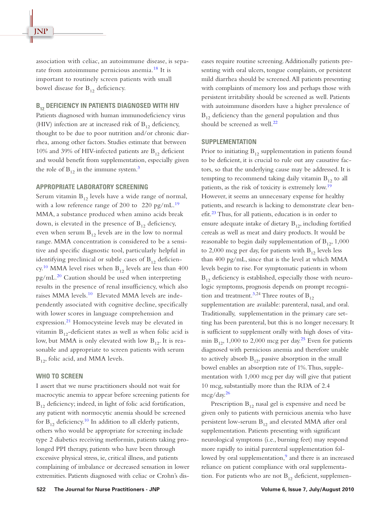association with celiac, an autoimmune disease, is sepa-rate from autoimmune pernicious anemia.<sup>[18](#page-4-0)</sup> It is important to routinely screen patients with small bowel disease for  $B_{12}$  deficiency.

## **B12 DEFICIENCY IN PATIENTS DIAGNOSED WITH HIV**

Patients diagnosed with human immunodeficiency virus (HIV) infection are at increased risk of  $B_{12}$  deficiency, thought to be due to poor nutrition and/or chronic diarrhea, among other factors. Studies estimate that between 10% and 39% of HIV-infected patients are  $B_{12}$  deficient and would benefit from supplementation, especially given the role of  $B_{12}$  in the immune system.<sup>3</sup>

#### **APPROPRIATE LABORATORY SCREENING**

Serum vitamin  $B_{12}$  levels have a wide range of normal, with a low reference range of 200 to 220 pg/mL.<sup>[19](#page-4-0)</sup> MMA, a substance produced when amino acids break down, is elevated in the presence of  $B_{12}$  deficiency, even when serum  $B_{12}$  levels are in the low to normal range. MMA concentration is considered to be a sensitive and specific diagnostic tool, particularly helpful in identifying preclinical or subtle cases of  $B_{12}$  deficien-cy.<sup>[10](#page-4-0)</sup> MMA level rises when  $B_{12}$  levels are less than 400  $pg/mL<sup>20</sup>$  $pg/mL<sup>20</sup>$  $pg/mL<sup>20</sup>$  Caution should be used when interpreting results in the presence of renal insufficiency, which also raises MMA levels.<sup>[10](#page-4-0)</sup> Elevated MMA levels are independently associated with cognitive decline, specifically with lower scores in language comprehension and expression.<sup>[21](#page-4-0)</sup> Homocysteine levels may be elevated in vitamin  $B_{12}$ -deficient states as well as when folic acid is low, but MMA is only elevated with low  $B_{12}$ . It is reasonable and appropriate to screen patients with serum  $B_{12}$ , folic acid, and MMA levels.

## **WHO TO SCREEN**

I assert that we nurse practitioners should not wait for macrocytic anemia to appear before screening patients for  $B_{12}$  deficiency; indeed, in light of folic acid fortification, any patient with normocytic anemia should be screened for  $B_{12}$  deficiency.<sup>10</sup> In addition to all elderly patients, others who would be appropriate for screening include type 2 diabetics receiving metformin, patients taking prolonged PPI therapy, patients who have been through excessive physical stress, ie, critical illness, and patients complaining of imbalance or decreased sensation in lower extremities. Patients diagnosed with celiac or Crohn's diseases require routine screening. Additionally patients presenting with oral ulcers, tongue complaints, or persistent mild diarrhea should be screened. All patients presenting with complaints of memory loss and perhaps those with persistent irritability should be screened as well. Patients with autoimmune disorders have a higher prevalence of  $B_{12}$  deficiency than the general population and thus should be screened as well. $^{22}$ 

#### **SUPPLEMENTATION**

Prior to initiating  $B_{12}$  supplementation in patients found to be deficient, it is crucial to rule out any causative factors, so that the underlying cause may be addressed. It is tempting to recommend taking daily vitamin  $B_{12}$  to all patients, as the risk of toxicity is extremely low.<sup>[19](#page-4-0)</sup> However, it seems an unnecessary expense for healthy patients, and research is lacking to demonstrate clear benefit[.23](#page-4-0) Thus, for all patients, education is in order to ensure adequate intake of dietary  $B_{12}$ , including fortified cereals as well as meat and dairy products. It would be reasonable to begin daily supplementation of  $B_{12}$ , 1,000 to 2,000 mcg per day, for patients with  $B_{12}$  levels less than 400 pg/mL, since that is the level at which MMA levels begin to rise. For symptomatic patients in whom  $B_{12}$  deficiency is established, especially those with neurologic symptoms, prognosis depends on prompt recognition and treatment.<sup>3,24</sup> Three routes of  $B_{12}$ supplementation are available: parenteral, nasal, and oral. Traditionally, supplementation in the primary care setting has been parenteral, but this is no longer necessary. It is sufficient to supplement orally with high doses of vitamin  $B_{12}$ , 1,000 to 2,000 mcg per day.<sup>25</sup> Even for patients diagnosed with pernicious anemia and therefore unable to actively absorb  $B_{12}$ , passive absorption in the small bowel enables an absorption rate of 1%. Thus, supplementation with 1,000 mcg per day will give that patient 10 mcg, substantially more than the RDA of 2.4 mcg/day.[26](#page-4-0)

Prescription  $B_{12}$  nasal gel is expensive and need be given only to patients with pernicious anemia who have persistent low-serum  $B_{12}$  and elevated MMA after oral supplementation. Patients presenting with significant neurological symptoms (i.e., burning feet) may respond more rapidly to initial parenteral supplementation followed by oral supplementation,<sup>9</sup> and there is an increased reliance on patient compliance with oral supplementation. For patients who are not  $B_{12}$  deficient, supplemen